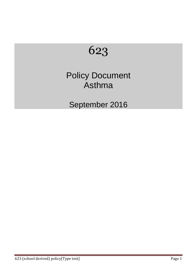

# Policy Document Asthma

September 2016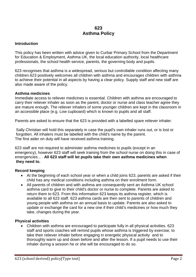# **623 Asthma Policy**

## **Introduction**

This policy has been written with advice given to Curbar Primary School from the Department for Education & Employment, Asthma UK, the local education authority, local healthcare professionals, the school health service, parents, the governing body and pupils.

623 recognises that asthma is a widespread, serious but controllable condition affecting many children.623 positively welcomes all children with asthma and encourages children with asthma to achieve their potential in all aspects by having a clear policy. Supply staff and new staff are also made aware of the policy.

## **Asthma medicines**

Immediate access to reliever medicines is essential. Children with asthma are encouraged to carry their reliever inhaler as soon as the parent, doctor or nurse and class teacher agree they are mature enough. The reliever inhalers of some younger children are kept in the classroom in an accessible place (e.g. Low cupboard) which is known to pupils and all staff.

Parents are asked to ensure that the 623 is provided with a labelled spare reliever inhaler.

Sally Christian will hold this separately in case the pupil's own inhaler runs out, or is lost or forgotten. All inhalers must be labelled with the child's name by the parent. The first aider on duty will have received asthma training.

623 staff are not required to administer asthma medicines to pupils (except in an emergency), however 623 staff will seek training from the school nurse on doing this in case of emergencies... . **All 623 staff will let pupils take their own asthma medicines when they need to.** 

## **Record keeping**

- At the beginning of each school year or when a child joins 623, parents are asked if their child has any medical conditions including asthma on their enrolment form.
- All parents of children and with asthma are consequently sent an Asthma UK school asthma card to give to their child's doctor or nurse to complete. Parents are asked to return them to 623. From this information 623 keeps its asthma register, which is available to all 623 staff. 623 asthma cards are then sent to parents of children and young people with asthma on an annual basis to update. Parents are also asked to update or exchange the card for a new one if their child's medicines or how much they take, changes during the year.

## **Physical activities**

• Children with asthma are encouraged to participate fully in all physical activities. 623 staff and sports coaches will remind pupils whose asthma is triggered by exercise, to take their reliever inhaler before engaging in energetic physical activity and to thoroughly warm up and down before and after the lesson. If a pupil needs to use their inhaler during a session he or she will be encouraged to do so.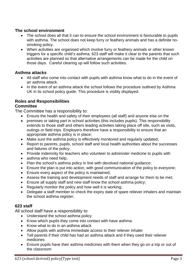## **The school environment**

- The school does all that it can to ensure the school environment is favourable to pupils with asthma. The school does not keep furry or feathery animals and has a definite nosmoking policy.
- When activities are organised which involve furry or feathery animals or other known triggers for a specific child's asthma, 623 staff will make it clear to the parents that such activities are planned so that alternative arrangements can be made for the child on those days. Careful clearing up will follow such activities.

## **Asthma attacks**

- All staff who come into contact with pupils with asthma know what to do in the event of an asthma attack.
- In the event of an asthma attack the school follows the procedure outlined by Asthma UK in its school policy guide. This procedure is visibly displayed.

# **Roles and Responsibilities**

## **Committee**

The Committee has a responsibility to:

- Ensure the health and safety of their employees (all staff) and anyone else on the
- premises or taking part in school activities (this includes pupils). This responsibility extends to those staff and others leading activities taking place off site, such as visits, outings or field trips. Employers therefore have a responsibility to ensure that an appropriate asthma policy is in place;
- Make sure the asthma policy is effectively monitored and regularly updated;
- Report to parents, pupils, school staff and local health authorities about the successes and failures of the policy;
- Provide indemnity for teachers who volunteer to administer medicine to pupils with
- asthma who need help.
- Plan the school's asthma policy in line with devolved national guidance;
- Ensure the plan is put into action, with good communication of the policy to everyone;
- Ensure every aspect of the policy is maintained;
- Assess the training and development needs of staff and arrange for them to be met;
- Ensure all supply staff and new staff know the school asthma policy;
- Regularly monitor the policy and how well it is working;
- Delegate a staff member to check the expiry date of spare reliever inhalers and maintain the school asthma register;

## **623 staff**

All school staff have a responsibility to:

- Understand the school asthma policy
- Know which pupils they come into contact with have asthma
- Know what to do in an asthma attack
- Allow pupils with asthma immediate access to their reliever inhaler
- Tell parents if their child has had an asthma attack and if they used their reliever medicines
- Ensure pupils have their asthma medicines with them when they go on a trip or out of the classroom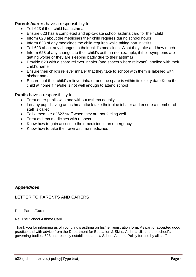**Parents/carers** have a responsibility to:

- Tell 623 if their child has asthma
- Ensure 623 has a completed and up-to-date school asthma card for their child
- Inform 623 about the medicines their child requires during school hours
- Inform 623 of any medicines the child requires while taking part in visits
- Tell 623 about any changes to their child's medicines. What they take and how much
- Inform 623 of any changes to their child's asthma (for example, if their symptoms are getting worse or they are sleeping badly due to their asthma)
- Provide 623 with a spare reliever inhaler (and spacer where relevant) labelled with their child's name
- Ensure their child's reliever inhaler that they take to school with them is labelled with his/her name
- Ensure that their child's reliever inhaler and the spare is within its expiry date Keep their child at home if he/she is not well enough to attend school

## **Pupils** have a responsibility to:

- Treat other pupils with and without asthma equally
- Let any pupil having an asthma attack take their blue inhaler and ensure a member of staff is called
- Tell a member of 623 staff when they are not feeling well
- Treat asthma medicines with respect
- Know how to gain access to their medicine in an emergency
- Know how to take their own asthma medicines

# *Appendices*

# LETTER TO PARENTS AND CARERS

Dear Parent/Carer

Re: The School Asthma Card

Thank you for informing us of your child's asthma on his/her registration form. As part of accepted good practice and with advice from the Department for Education & Skills, Asthma UK and the school's governing bodies, 623 has recently established a new School Asthma Policy for use by all staff.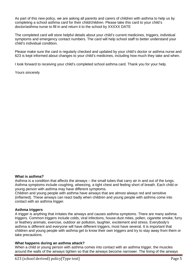As part of this new policy, we are asking all parents and carers of children with asthma to help us by completing a school asthma card for their child/children. Please take this card to your child's doctor/asthma nurse to fill in and return it to the school by XXXXX DATE

The completed card will store helpful details about your child's current medicines, triggers, individual symptoms and emergency contact numbers. The card will help school staff to better understand your child's individual condition.

Please make sure the card is regularly checked and updated by your child's doctor or asthma nurse and 623 is kept informed about changes to your child's medicines, including how much they take and when.

I look forward to receiving your child's completed school asthma card. Thank you for your help.

Yours sincerely

#### **What is asthma?**

Asthma is a condition that affects the airways – the small tubes that carry air in and out of the lungs. Asthma symptoms include coughing, wheezing, a tight chest and feeling short of breath. Each child or young person with asthma may have different symptoms.

Children and young people with asthma have airways that are almost always red and sensitive (inflamed). These airways can react badly when children and young people with asthma come into contact with an asthma trigger.

#### **Asthma triggers**

A trigger is anything that irritates the airways and causes asthma symptoms. There are many asthma triggers. Common triggers include colds, viral infections, house-dust mites, pollen, cigarette smoke, furry or feathery animals, exercise, outdoor air pollution, laughter, excitement and stress. Everybody's asthma is different and everyone will have different triggers, most have several. It is important that children and young people with asthma get to know their own triggers and try to stay away from them or take precautions.

#### **What happens during an asthma attack?**

When a child or young person with asthma comes into contact with an asthma trigger, the muscles around the walls of the airways tighten so that the airways become narrower. The lining of the airways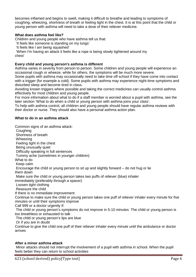becomes inflamed and begins to swell, making it difficult to breathe and leading to symptoms of coughing, wheezing, shortness of breath or feeling tight in the chest. It is at this point that the child or young person with asthma will need to take a dose of their reliever medicine.

### **What does asthma feel like?**

Children and young people who have asthma tell us that:

'It feels like someone is standing on my lungs'

'It feels like I am being squashed'

'When I'm having an attack it feels like a rope is being slowly tightened around my chest'

#### **Every child and young person's asthma is different**

Asthma varies in severity from person to person. Some children and young people will experience an occasional cough or wheeze, while for others, the symptoms will be much more severe.

Some pupils with asthma may occasionally need to take time off school if they have come into contact with a trigger (for example a cold). Some pupils with asthma may experience night-time symptoms and disturbed sleep and become tired in class.

Avoiding known triggers where possible and taking the correct medicines can usually control asthma effectively for most children and young people.

For more information about what to do if a staff member is worried about a pupil with asthma, see the later section 'What to do when a child or young person with asthma joins your class'.

To help with asthma control, all children and young people should have regular asthma reviews with their doctor or nurse. They should also have a personal asthma action plan.

#### **What to do in an asthma attack**

Common signs of an asthma attack: Coughing Shortness of breath Wheezing Feeling tight in the chest Being unusually quiet Difficulty speaking in full sentences Tummy ache (sometimes in younger children) What to do Keep calm Encourage the child or young person to sit up and slightly forward – do not hug or lie them down Make sure the child or young person takes two puffs of reliever (blue) inhaler immediately (preferably through a spacer) Loosen tight clothing Reassure the child If there is no immediate improvement Continue to make sure the child or young person takes one puff of reliever inhaler every minute for five minutes or until their symptoms improve Call 999 or a doctor urgently if: The child or young person's symptoms do not improve in 5-10 minutes The child or young person is too breathless or exhausted to talk The child or young person's lips are blue Or if you are in doubt

Continue to give the child one puff of their reliever inhaler every minute until the ambulance or doctor arrives

#### **After a minor asthma attack**

Minor attacks should not interrupt the involvement of a pupil with asthma in school. When the pupil feels better they can return to school activities